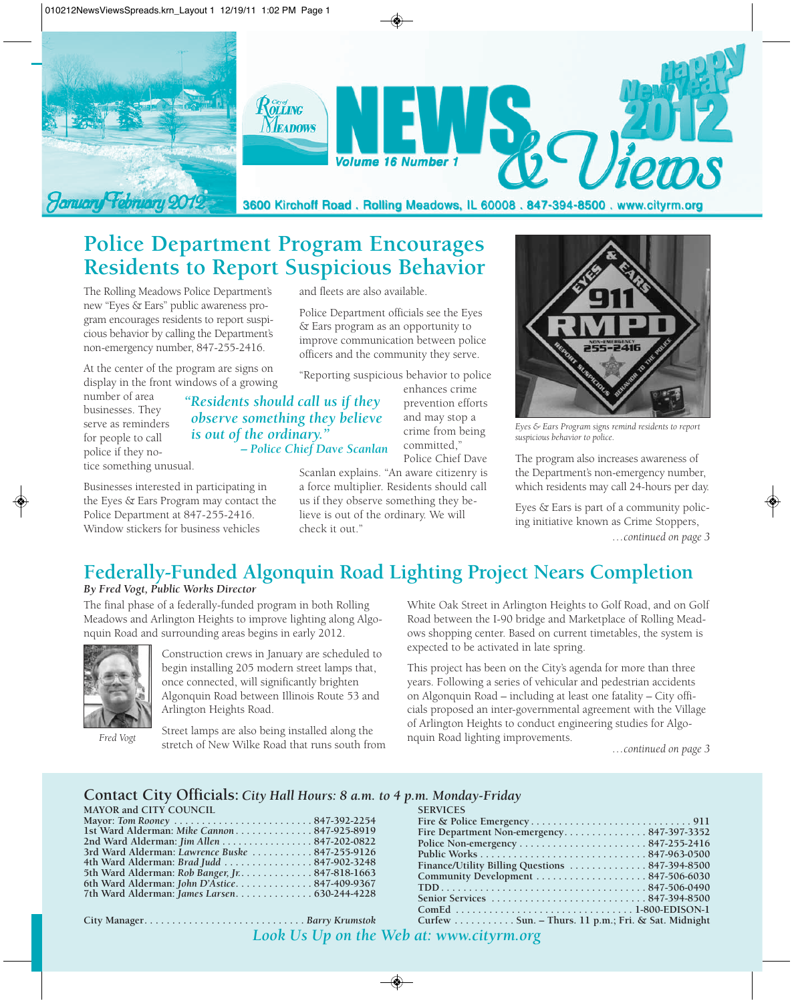

### **Police Department Program Encourages Residents to Report Suspicious Behavior**

The Rolling Meadows Police Department's new "Eyes & Ears" public awareness program encourages residents to report suspicious behavior by calling the Department's non-emergency number, 847-255-2416.

At the center of the program are signs on display in the front windows of a growing

number of area businesses. They serve as reminders for people to call police if they no-

tice something unusual. Businesses interested in participating in

the Eyes & Ears Program may contact the Police Department at 847-255-2416. Window stickers for business vehicles

and fleets are also available.

Police Department officials see the Eyes & Ears program as an opportunity to improve communication between police officers and the community they serve.

"Reporting suspicious behavior to police

*"Residents should call us if they observe something they believe is out of the ordinary." – Police Chief Dave Scanlan*

enhances crime prevention efforts and may stop a crime from being committed," Police Chief Dave

Scanlan explains. "An aware citizenry is a force multiplier. Residents should call us if they observe something they believe is out of the ordinary. We will check it out."



*Eyes & Ears Program signs remind residents to report suspicious behavior to police.*

The program also increases awareness of the Department's non-emergency number, which residents may call 24-hours per day.

Eyes & Ears is part of a community policing initiative known as Crime Stoppers, *…continued on page 3*

# **Federally-Funded Algonquin Road Lighting Project Nears Completion**

#### *By Fred Vogt, Public Works Director*

The final phase of a federally-funded program in both Rolling Meadows and Arlington Heights to improve lighting along Algonquin Road and surrounding areas begins in early 2012.



Construction crews in January are scheduled to begin installing 205 modern street lamps that, once connected, will significantly brighten Algonquin Road between Illinois Route 53 and Arlington Heights Road.

*Fred Vogt*

Street lamps are also being installed along the stretch of New Wilke Road that runs south from White Oak Street in Arlington Heights to Golf Road, and on Golf Road between the I-90 bridge and Marketplace of Rolling Meadows shopping center. Based on current timetables, the system is expected to be activated in late spring.

This project has been on the City's agenda for more than three years. Following a series of vehicular and pedestrian accidents on Algonquin Road – including at least one fatality – City officials proposed an inter-governmental agreement with the Village of Arlington Heights to conduct engineering studies for Algonquin Road lighting improvements.

*…continued on page 3*

#### **Contact City Officials:** *City Hall Hours: 8 a.m. to 4 p.m. Monday-Friday*

| MAYOR and CITY COUNCIL                          | <b>SERVIC</b>       |
|-------------------------------------------------|---------------------|
|                                                 | Fire $\&$           |
| 1st Ward Alderman: Mike Cannon847-925-8919      | Fire De             |
| 2nd Ward Alderman: Jim Allen 847-202-0822       | Police 1            |
| 3rd Ward Alderman: Lawrence Buske  847-255-9126 | Public <sup>1</sup> |
| 4th Ward Alderman: Brad Judd 847-902-3248       | Finance             |
| 5th Ward Alderman: Rob Banger, Jr. 847-818-1663 | Commu               |
| 6th Ward Alderman: John D'Astice847-409-9367    | TDD                 |
| 7th Ward Alderman: James Larsen 630-244-4228    | Senior:             |

| <b>SERVICES</b>                                    |
|----------------------------------------------------|
|                                                    |
|                                                    |
|                                                    |
|                                                    |
|                                                    |
|                                                    |
|                                                    |
|                                                    |
|                                                    |
| Curfew Sun. – Thurs. 11 p.m.; Fri. & Sat. Midnight |
|                                                    |

**City Manager. . . . . . . . . . . . . . . . . . . . . . . . . . . . .** *Barry Krumstok Look Us Up on the Web at: www.cityrm.org*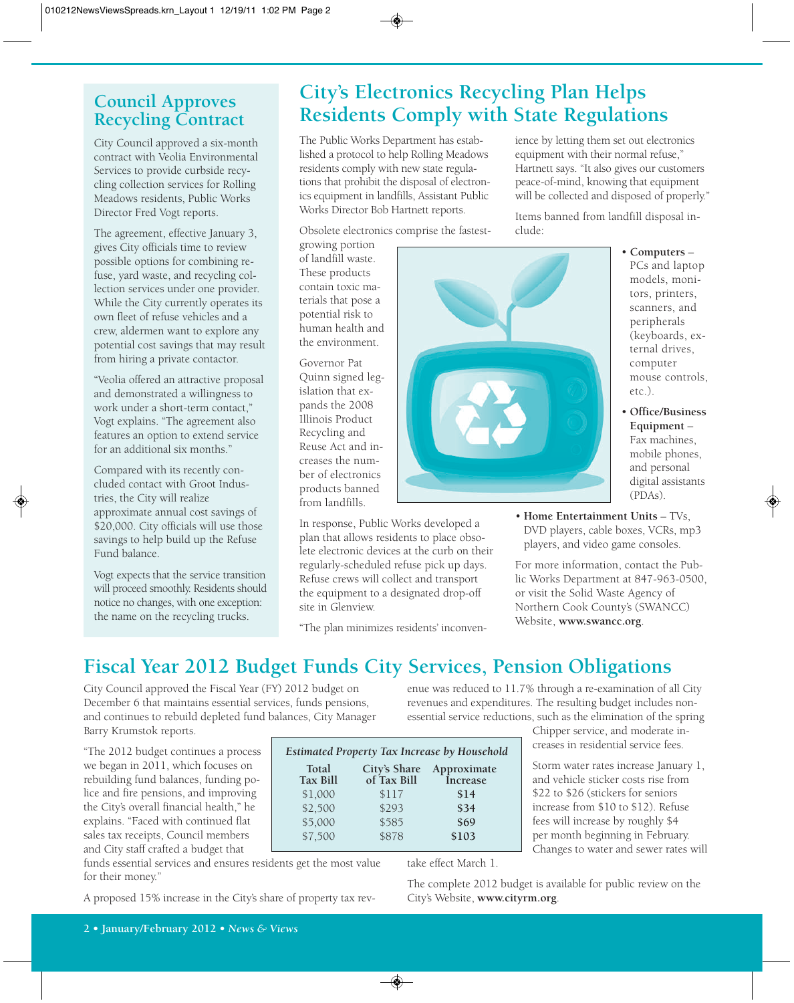#### **Council Approves Recycling Contract**

City Council approved a six-month contract with Veolia Environmental Services to provide curbside recycling collection services for Rolling Meadows residents, Public Works Director Fred Vogt reports.

The agreement, effective January 3, gives City officials time to review possible options for combining refuse, yard waste, and recycling collection services under one provider. While the City currently operates its own fleet of refuse vehicles and a crew, aldermen want to explore any potential cost savings that may result from hiring a private contactor.

"Veolia offered an attractive proposal and demonstrated a willingness to work under a short-term contact," Vogt explains. "The agreement also features an option to extend service for an additional six months."

Compared with its recently concluded contact with Groot Industries, the City will realize approximate annual cost savings of \$20,000. City officials will use those savings to help build up the Refuse Fund balance.

Vogt expects that the service transition will proceed smoothly. Residents should notice no changes, with one exception: the name on the recycling trucks.

## **City's Electronics Recycling Plan Helps Residents Comply with State Regulations**

The Public Works Department has established a protocol to help Rolling Meadows residents comply with new state regulations that prohibit the disposal of electronics equipment in landfills, Assistant Public Works Director Bob Hartnett reports.

Obsolete electronics comprise the fastest-

growing portion of landfill waste. These products contain toxic materials that pose a potential risk to human health and the environment.

Governor Pat Quinn signed legislation that expands the 2008 Illinois Product Recycling and Reuse Act and increases the number of electronics products banned from landfills.

In response, Public Works developed a plan that allows residents to place obsolete electronic devices at the curb on their regularly-scheduled refuse pick up days. Refuse crews will collect and transport the equipment to a designated drop-off site in Glenview.

"The plan minimizes residents' inconven-

ience by letting them set out electronics equipment with their normal refuse," Hartnett says. "It also gives our customers peace-of-mind, knowing that equipment will be collected and disposed of properly."

Items banned from landfill disposal include:

- **Computers** PCs and laptop models, monitors, printers, scanners, and peripherals (keyboards, external drives, computer mouse controls, etc.).
- **Office/Business Equipment** – Fax machines, mobile phones, and personal digital assistants (PDAs).
- **Home Entertainment Units** TVs, DVD players, cable boxes, VCRs, mp3 players, and video game consoles.

For more information, contact the Public Works Department at 847-963-0500, or visit the Solid Waste Agency of Northern Cook County's (SWANCC) Website, **www.swancc.org**.

Chipper service, and moderate increases in residential service fees.

Storm water rates increase January 1, and vehicle sticker costs rise from \$22 to \$26 (stickers for seniors increase from \$10 to \$12). Refuse fees will increase by roughly \$4 per month beginning in February. Changes to water and sewer rates will

## **Fiscal Year 2012 Budget Funds City Services, Pension Obligations**

City Council approved the Fiscal Year (FY) 2012 budget on December 6 that maintains essential services, funds pensions, and continues to rebuild depleted fund balances, City Manager Barry Krumstok reports.

"The 2012 budget continues a process we began in 2011, which focuses on rebuilding fund balances, funding police and fire pensions, and improving the City's overall financial health," he explains. "Faced with continued flat sales tax receipts, Council members and City staff crafted a budget that

funds essential services and ensures residents get the most value for their money."

A proposed 15% increase in the City's share of property tax rev-

*Estimated Property Tax Increase by Household* **Total City's Share Approximate** of Tax Bill \$1,000 \$117 **\$14** \$2,500 \$293 **\$34** \$5,000 \$585 **\$69**

take effect March 1.

The complete 2012 budget is available for public review on the City's Website, **www.cityrm.org**.

enue was reduced to 11.7% through a re-examination of all City revenues and expenditures. The resulting budget includes nonessential service reductions, such as the elimination of the spring



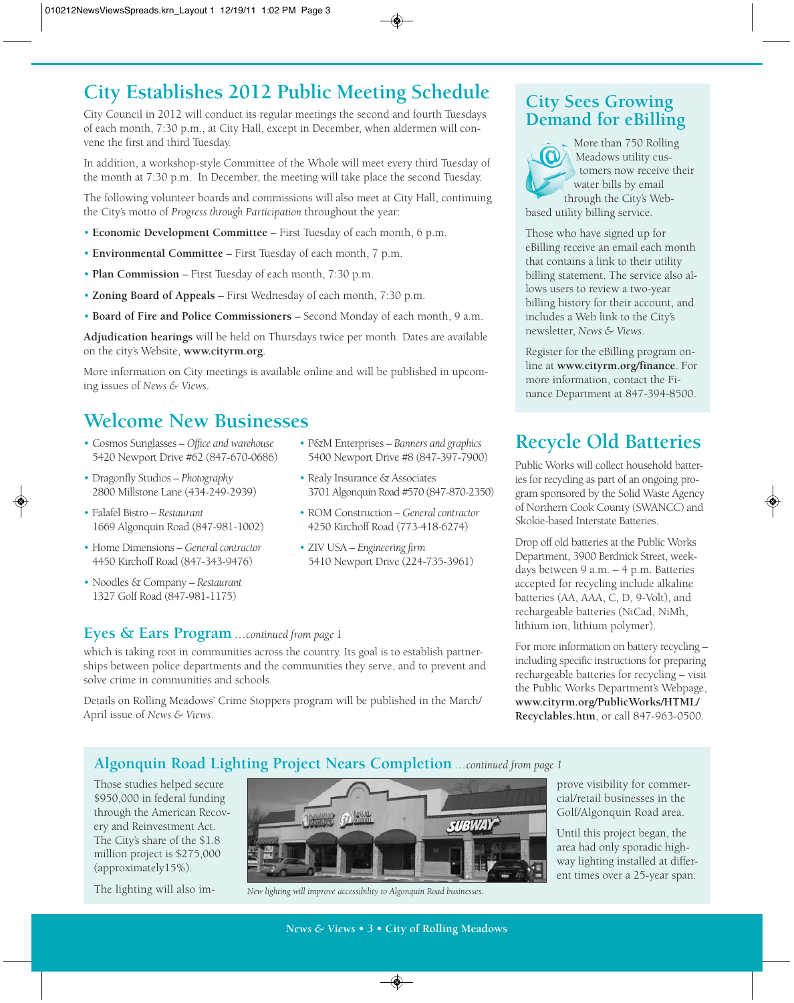## **City Establishes 2012 Public Meeting Schedule**

City Council in 2012 will conduct its regular meetings the second and fourth Tuesdays of each month, 7:30 p.m., at City Hall, except in December, when aldermen will convene the first and third Tuesday.

In addition, a workshop-style Committee of the Whole will meet every third Tuesday of the month at 7:30 p.m. In December, the meeting will take place the second Tuesday.

The following volunteer boards and commissions will also meet at City Hall, continuing the City's motto of *Progress through Participation* throughout the year:

- **Economic Development Committee** First Tuesday of each month, 6 p.m.
- **Environmental Committee** First Tuesday of each month, 7 p.m.
- **Plan Commission** First Tuesday of each month, 7:30 p.m.
- **Zoning Board of Appeals** First Wednesday of each month, 7:30 p.m.
- **Board of Fire and Police Commissioners** Second Monday of each month, 9 a.m.

**Adjudication hearings** will be held on Thursdays twice per month. Dates are available on the city's Website, **www.cityrm.org**.

More information on City meetings is available online and will be published in upcoming issues of *News & Views*.

#### **Welcome New Businesses**

- Cosmos Sunglasses  *Office and warehouse* 5420 Newport Drive #62 (847-670-0686)
- Dragonfly Studios  *Photography* 2800 Millstone Lane (434-249-2939)
- Falafel Bistro  *Restaurant* 1669 Algonquin Road (847-981-1002)
- Home Dimensions  *General contractor* 4450 Kirchoff Road (847-343-9476)
- Noodles & Company  *Restaurant* 1327 Golf Road (847-981-1175)
- P&M Enterprises  *Banners and graphics* 5400 Newport Drive #8 (847-397-7900)
- Realy Insurance & Associates 3701 Algonquin Road #570 (847-870-2350)
- ROM Construction  *General contractor* 4250 Kirchoff Road (773-418-6274)
- ZIV USA  *Engineering firm* 5410 Newport Drive (224-735-3961)

#### **City Sees Growing Demand for eBilling**



More than 750 Rolling Meadows utility customers now receive their water bills by email through the City's Webbased utility billing service.

Those who have signed up for eBilling receive an email each month that contains a link to their utility billing statement. The service also allows users to review a two-year billing history for their account, and includes a Web link to the City's newsletter, *News & Views*.

Register for the eBilling program online at **www.cityrm.org/finance**. For more information, contact the Finance Department at 847-394-8500.

# **Recycle Old Batteries**

Public Works will collect household batteries for recycling as part of an ongoing program sponsored by the Solid Waste Agency of Northern Cook County (SWANCC) and Skokie-based Interstate Batteries.

Drop off old batteries at the Public Works Department, 3900 Berdnick Street, weekdays between 9 a.m. – 4 p.m. Batteries accepted for recycling include alkaline batteries (AA, AAA, C, D, 9-Volt), and rechargeable batteries (NiCad, NiMh, lithium ion, lithium polymer).

For more information on battery recycling – including specific instructions for preparing rechargeable batteries for recycling – visit the Public Works Department's Webpage, **www.cityrm.org/PublicWorks/HTML/ Recyclables.htm**, or call 847-963-0500.

#### **Eyes & Ears Program** *…continued from page 1*

which is taking root in communities across the country. Its goal is to establish partnerships between police departments and the communities they serve, and to prevent and solve crime in communities and schools.

Details on Rolling Meadows' Crime Stoppers program will be published in the March/ April issue of *News & Views*.

#### **Algonquin Road Lighting Project Nears Completion** *…continued from page 1*

Those studies helped secure \$950,000 in federal funding through the American Recovery and Reinvestment Act. The City's share of the \$1.8 million project is \$275,000 (approximately15%).

The lighting will also im-



*New lighting will improve accessibility to Algonquin Road businesses.*

prove visibility for commercial/retail businesses in the Golf/Algonquin Road area.

Until this project began, the area had only sporadic highway lighting installed at different times over a 25-year span.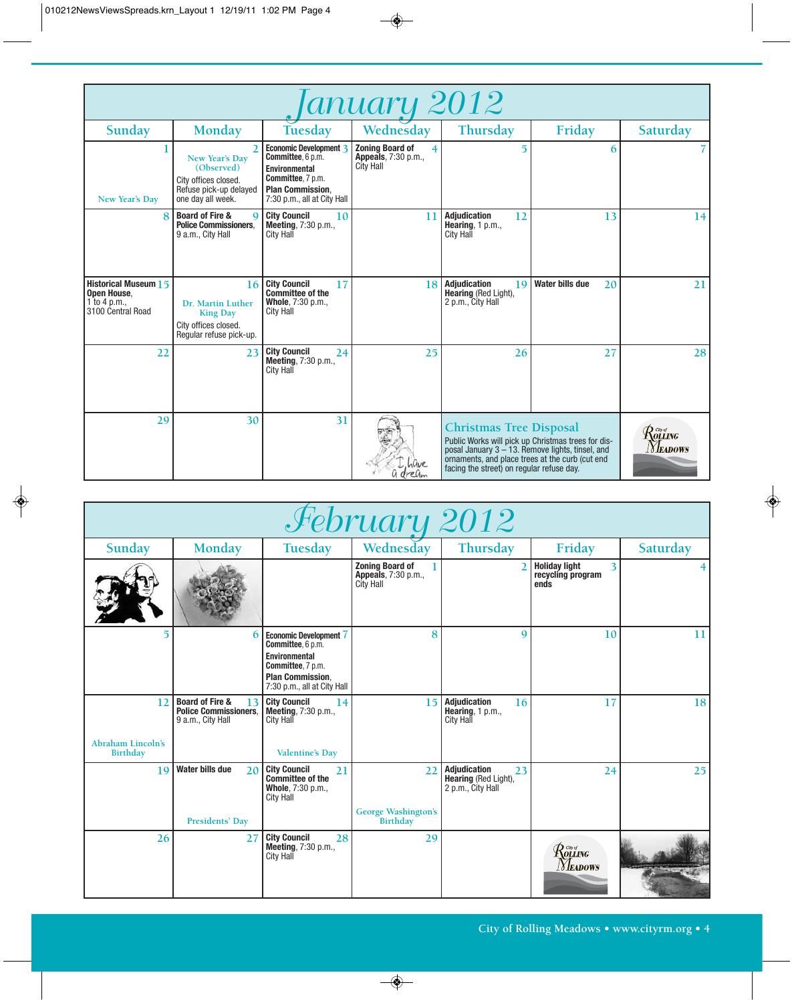| lanuary 2012                                                             |                                                                                                     |                                                                                                                                                           |                                                                           |                                                                                                                                                                                                                                             |                              |                                                |  |  |
|--------------------------------------------------------------------------|-----------------------------------------------------------------------------------------------------|-----------------------------------------------------------------------------------------------------------------------------------------------------------|---------------------------------------------------------------------------|---------------------------------------------------------------------------------------------------------------------------------------------------------------------------------------------------------------------------------------------|------------------------------|------------------------------------------------|--|--|
| Sunday                                                                   | Monday                                                                                              | Tuesday                                                                                                                                                   | Wednesday                                                                 | <b>Thursday</b>                                                                                                                                                                                                                             | Friday                       | Saturday                                       |  |  |
| New Year's Day                                                           | New Year's Day<br>(Observed)<br>City offices closed.<br>Refuse pick-up delayed<br>one day all week. | Economic Development 3<br><b>Committee, 6 p.m.</b><br><b>Environmental</b><br>Committee, 7 p.m.<br><b>Plan Commission.</b><br>7:30 p.m., all at City Hall | <b>Zoning Board of</b><br><b>Appeals</b> , 7:30 p.m.,<br><b>City Hall</b> | $\overline{5}$                                                                                                                                                                                                                              | 6                            |                                                |  |  |
| 8                                                                        | <b>Board of Fire &amp;</b><br>$\mathbf Q$<br><b>Police Commissioners.</b><br>9 a.m., City Hall      | <b>City Council</b><br>10<br><b>Meeting, 7:30 p.m.,</b><br>City Hall                                                                                      | 11                                                                        | Adjudication<br>12<br>Hearing, $1 p.m.,$<br><b>City Hall</b>                                                                                                                                                                                | 13                           | 14                                             |  |  |
| Historical Museum 15<br>Open House,<br>1 to 4 p.m.,<br>3100 Central Road | 16<br>Dr. Martin Luther<br><b>King Day</b><br>City offices closed.<br>Regular refuse pick-up.       | <b>City Council</b><br>17<br><b>Committee of the</b><br><b>Whole, 7:30 p.m.,</b><br>City Hall                                                             | 18                                                                        | <b>Adjudication</b><br>19<br><b>Hearing (Red Light),</b><br>2 p.m., City Hall                                                                                                                                                               | <b>Water bills due</b><br>20 | 21                                             |  |  |
| 22                                                                       | 23                                                                                                  | <b>City Council</b><br>24<br>Meeting, 7:30 p.m.,<br>City Hall                                                                                             | 25                                                                        | 26                                                                                                                                                                                                                                          | 27                           | 28                                             |  |  |
| 29                                                                       | 30                                                                                                  | 31                                                                                                                                                        | dream                                                                     | <b>Christmas Tree Disposal</b><br>Public Works will pick up Christmas trees for dis-<br>posal January $3 - 13$ . Remove lights, tinsel, and<br>ornaments, and place trees at the curb (cut end<br>facing the street) on regular refuse day. |                              | $\mathcal{R}$ olling<br><i><b>Yleadows</b></i> |  |  |

| February 2012                        |                                                                                       |                                                                                                                                             |                                                                           |                                                                        |                                                                                   |          |  |
|--------------------------------------|---------------------------------------------------------------------------------------|---------------------------------------------------------------------------------------------------------------------------------------------|---------------------------------------------------------------------------|------------------------------------------------------------------------|-----------------------------------------------------------------------------------|----------|--|
| Sunday                               | Monday                                                                                | <b>Tuesday</b>                                                                                                                              | Wednesday                                                                 | Thursday                                                               | Friday                                                                            | Saturday |  |
|                                      |                                                                                       |                                                                                                                                             | <b>Zoning Board of</b><br><b>Appeals</b> , 7:30 p.m.,<br><b>City Hall</b> | $\mathfrak{I}$                                                         | <b>Holiday light</b><br>3<br>recycling program<br>ends                            |          |  |
| 5                                    | 6                                                                                     | Economic Development 7<br>Committee, 6 p.m.<br>Environmental<br>Committee, 7 p.m.<br><b>Plan Commission.</b><br>7:30 p.m., all at City Hall | 8                                                                         | 9                                                                      | 10                                                                                | 11       |  |
| 12                                   | <b>Board of Fire &amp;</b><br>13<br><b>Police Commissioners.</b><br>9 a.m., City Hall | <b>City Council</b><br>14<br><b>Meeting, 7:30 p.m.,</b><br>City Hall                                                                        | 15                                                                        | <b>Adjudication</b><br>16<br>Hearing, 1 p.m.,<br><b>City Hall</b>      | 17                                                                                | 18       |  |
| <b>Abraham Lincoln's</b><br>Birthday |                                                                                       | <b>Valentine's Day</b>                                                                                                                      |                                                                           |                                                                        |                                                                                   |          |  |
| 19                                   | <b>Water bills due</b><br>20                                                          | <b>City Council</b><br>21<br><b>Committee of the</b><br>Whole, 7:30 p.m.,<br>City Hall                                                      | 22                                                                        | <b>Adjudication</b><br>23<br>Hearing (Red Light),<br>2 p.m., City Hall | 24                                                                                | 25       |  |
|                                      | Presidents' Day                                                                       |                                                                                                                                             | <b>George Washington's</b><br>Birthday                                    |                                                                        |                                                                                   |          |  |
| 26                                   | 27                                                                                    | <b>City Council</b><br>28<br>Meeting, 7:30 p.m.,<br>City Hall                                                                               | 29                                                                        |                                                                        | $\mathcal{R}^{\tiny{{}^{\tiny{C}\!\mathit{w}\sigma}}}_{\tiny{OLLING}}$<br>Meadows |          |  |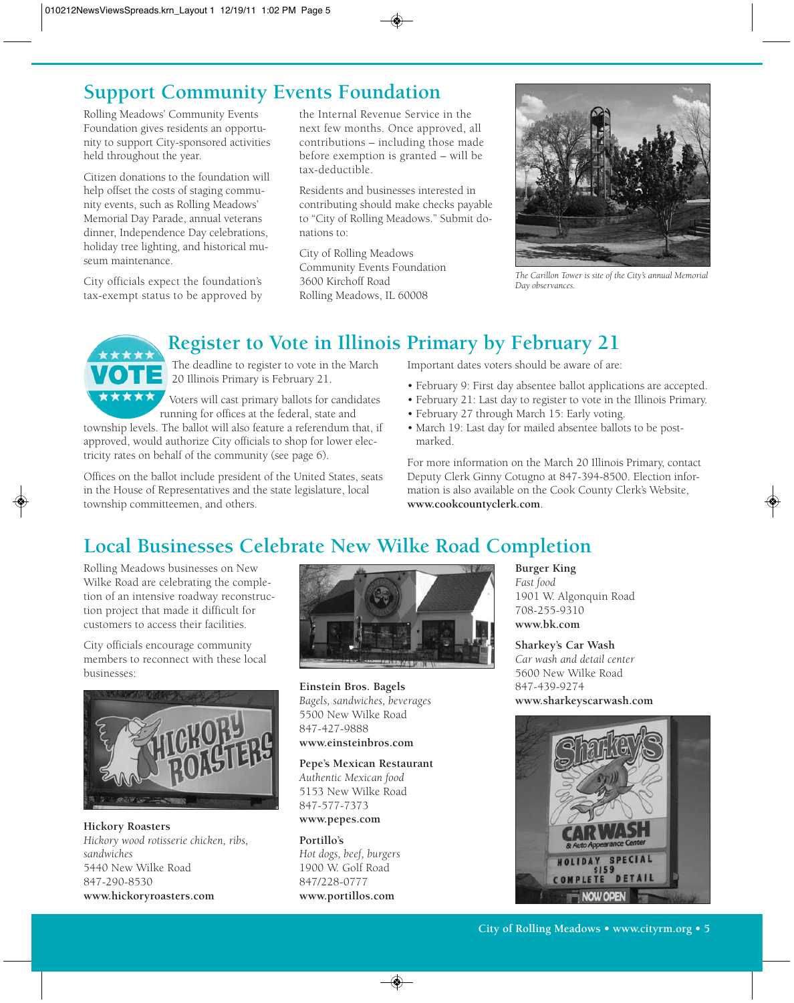## **Support Community Events Foundation**

Rolling Meadows' Community Events Foundation gives residents an opportunity to support City-sponsored activities held throughout the year.

Citizen donations to the foundation will help offset the costs of staging community events, such as Rolling Meadows' Memorial Day Parade, annual veterans dinner, Independence Day celebrations, holiday tree lighting, and historical museum maintenance.

City officials expect the foundation's tax-exempt status to be approved by the Internal Revenue Service in the next few months. Once approved, all contributions – including those made before exemption is granted – will be tax-deductible.

Residents and businesses interested in contributing should make checks payable to "City of Rolling Meadows." Submit donations to:

City of Rolling Meadows Community Events Foundation 3600 Kirchoff Road Rolling Meadows, IL 60008



*The Carillon Tower is site of the City's annual Memorial Day observances.*

#### **Register to Vote in Illinois Primary by February 21**



The deadline to register to vote in the March 20 Illinois Primary is February 21.

Voters will cast primary ballots for candidates running for offices at the federal, state and

township levels. The ballot will also feature a referendum that, if approved, would authorize City officials to shop for lower electricity rates on behalf of the community (see page 6).

Offices on the ballot include president of the United States, seats in the House of Representatives and the state legislature, local township committeemen, and others.

Important dates voters should be aware of are:

- February 9: First day absentee ballot applications are accepted.
- February 21: Last day to register to vote in the Illinois Primary.
- February 27 through March 15: Early voting.
- March 19: Last day for mailed absentee ballots to be postmarked.

For more information on the March 20 Illinois Primary, contact Deputy Clerk Ginny Cotugno at 847-394-8500. Election information is also available on the Cook County Clerk's Website, **www.cookcountyclerk.com**.

# **Local Businesses Celebrate New Wilke Road Completion**

Rolling Meadows businesses on New Wilke Road are celebrating the completion of an intensive roadway reconstruction project that made it difficult for customers to access their facilities.

City officials encourage community members to reconnect with these local businesses:



**Hickory Roasters** *Hickory wood rotisserie chicken, ribs, sandwiches* 5440 New Wilke Road 847-290-8530 **www.hickoryroasters.com**



**Einstein Bros. Bagels** *Bagels, sandwiches, beverages* 5500 New Wilke Road 847-427-9888

**www.einsteinbros.com**

#### **Pepe's Mexican Restaurant**

*Authentic Mexican food* 5153 New Wilke Road 847-577-7373 **www.pepes.com**

**Portillo's**  *Hot dogs, beef, burgers* 1900 W. Golf Road 847/228-0777 **www.portillos.com**

#### **Burger King**

*Fast food* 1901 W. Algonquin Road 708-255-9310 **www.bk.com**

#### **Sharkey's Car Wash**

*Car wash and detail center* 5600 New Wilke Road 847-439-9274 **www.sharkeyscarwash.com**